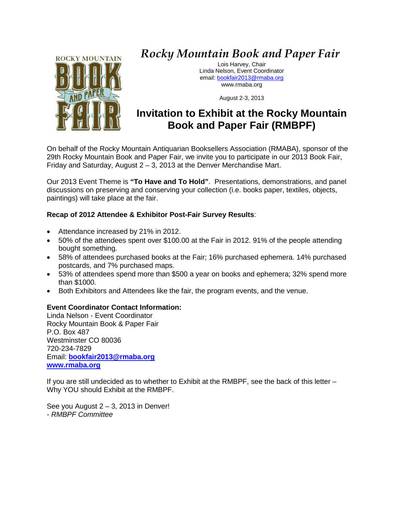

## *Rocky Mountain Book and Paper Fair*

Lois Harvey, Chair Linda Nelson, Event Coordinator email: [bookfair2013@rmaba.org](mailto:bookfair2013@rmaba.org) www.rmaba.org

August 2-3, 2013

### **Invitation to Exhibit at the Rocky Mountain Book and Paper Fair (RMBPF)**

On behalf of the Rocky Mountain Antiquarian Booksellers Association (RMABA), sponsor of the 29th Rocky Mountain Book and Paper Fair, we invite you to participate in our 2013 Book Fair, Friday and Saturday, August 2 – 3, 2013 at the Denver Merchandise Mart.

Our 2013 Event Theme is **"To Have and To Hold"**. Presentations, demonstrations, and panel discussions on preserving and conserving your collection (i.e. books paper, textiles, objects, paintings) will take place at the fair.

#### **Recap of 2012 Attendee & Exhibitor Post-Fair Survey Results**:

- Attendance increased by 21% in 2012.
- 50% of the attendees spent over \$100.00 at the Fair in 2012. 91% of the people attending bought something.
- 58% of attendees purchased books at the Fair; 16% purchased ephemera. 14% purchased postcards, and 7% purchased maps.
- 53% of attendees spend more than \$500 a year on books and ephemera; 32% spend more than \$1000.
- Both Exhibitors and Attendees like the fair, the program events, and the venue.

#### **Event Coordinator Contact Information:**

Linda Nelson - Event Coordinator Rocky Mountain Book & Paper Fair P.O. Box 487 Westminster CO 80036 720-234-7829 Email: **[bookfair2013@rmaba.org](mailto:bookfair2013@rmaba.org) [www.rmaba.org](http://www.rmaba.org/)**

If you are still undecided as to whether to Exhibit at the RMBPF, see the back of this letter – Why YOU should Exhibit at the RMBPF.

See you August  $2 - 3$ , 2013 in Denver! *- RMBPF Committee*